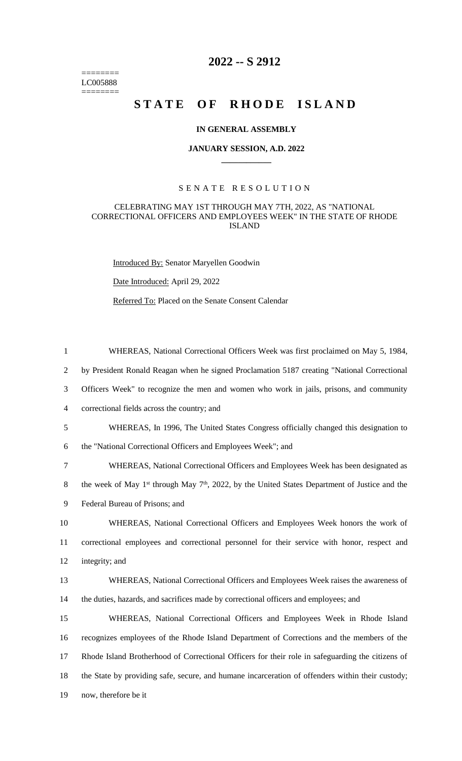======== LC005888 ========

# **2022 -- S 2912**

# **STATE OF RHODE ISLAND**

## **IN GENERAL ASSEMBLY**

#### **JANUARY SESSION, A.D. 2022 \_\_\_\_\_\_\_\_\_\_\_\_**

#### S E N A T E R E S O L U T I O N

## CELEBRATING MAY 1ST THROUGH MAY 7TH, 2022, AS "NATIONAL CORRECTIONAL OFFICERS AND EMPLOYEES WEEK" IN THE STATE OF RHODE ISLAND

Introduced By: Senator Maryellen Goodwin

Date Introduced: April 29, 2022

Referred To: Placed on the Senate Consent Calendar

 by President Ronald Reagan when he signed Proclamation 5187 creating "National Correctional Officers Week" to recognize the men and women who work in jails, prisons, and community correctional fields across the country; and WHEREAS, In 1996, The United States Congress officially changed this designation to

1 WHEREAS, National Correctional Officers Week was first proclaimed on May 5, 1984,

6 the "National Correctional Officers and Employees Week"; and

7 WHEREAS, National Correctional Officers and Employees Week has been designated as

8 the week of May 1<sup>st</sup> through May  $7<sup>th</sup>$ , 2022, by the United States Department of Justice and the

9 Federal Bureau of Prisons; and

10 WHEREAS, National Correctional Officers and Employees Week honors the work of 11 correctional employees and correctional personnel for their service with honor, respect and 12 integrity; and

13 WHEREAS, National Correctional Officers and Employees Week raises the awareness of 14 the duties, hazards, and sacrifices made by correctional officers and employees; and

 WHEREAS, National Correctional Officers and Employees Week in Rhode Island recognizes employees of the Rhode Island Department of Corrections and the members of the Rhode Island Brotherhood of Correctional Officers for their role in safeguarding the citizens of the State by providing safe, secure, and humane incarceration of offenders within their custody; now, therefore be it